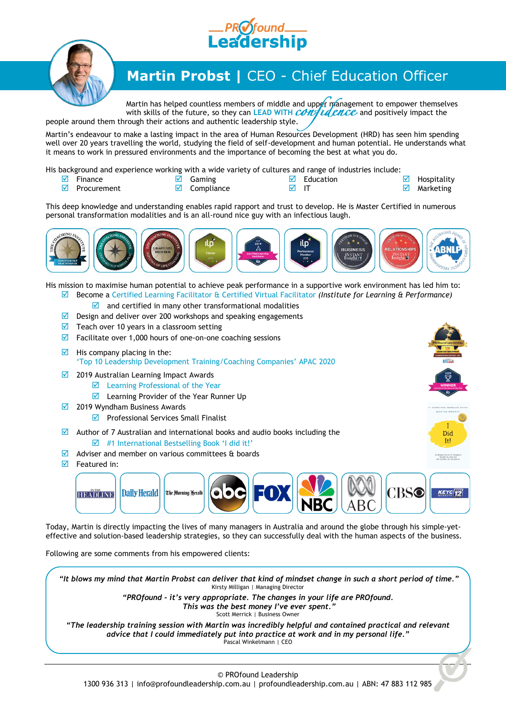



## **Martin Probst |** CEO - Chief Education Officer

Martin has helped countless members of middle and upper management to empower themselves with skills of the future, so they can LEAD WITH CONTU and positively impact the people around them through their actions and authentic leadership style.

Martin's endeavour to make a lasting impact in the area of Human Resources Development (HRD) has seen him spending well over 20 years travelling the world, studying the field of self-development and human potential. He understands what it means to work in pressured environments and the importance of becoming the best at what you do.

His background and experience working with a wide variety of cultures and range of industries include:

- $\boxdot$  Finance  $\n **Procurrent**\n$
- $\overline{\mathsf{M}}$  Gaming  $\boxtimes$  Compliance
- $\boxdot$  Education  $\overline{M}$  IT
- $\boxdot$  Hospitality
	- $\blacksquare$  Marketing

ARTIN PRO

Did It! 6 Mindset Secrets To Transfor<br>The Life You Have Into

This deep knowledge and understanding enables rapid rapport and trust to develop. He is Master Certified in numerous personal transformation modalities and is an all-round nice guy with an infectious laugh.



His mission to maximise human potential to achieve peak performance in a supportive work environment has led him to: Become a Certified Learning Facilitator & Certified Virtual Facilitator *(Institute for Learning & Performance)*

- $\blacksquare$  and certified in many other transformational modalities
- $\blacksquare$  Design and deliver over 200 workshops and speaking engagements
- $\triangledown$  Teach over 10 years in a classroom setting
- $\blacksquare$  Facilitate over 1,000 hours of one-on-one coaching sessions
- $\boxtimes$  His company placing in the: 'Top 10 Leadership Development Training/Coaching Companies' APAC 2020
- $\boxtimes$  2019 Australian Learning Impact Awards
	- Learning Professional of the Year
		- Learning Provider of the Year Runner Up
- $\boxtimes$  2019 Wyndham Business Awards
	- $\triangledown$  Professional Services Small Finalist
- $\blacksquare$  Author of 7 Australian and international books and audio books including the  $\overline{\mathcal{A}}$  #1 International Bestselling Book 'I did it!'
- $\blacksquare$  Adviser and member on various committees & boards
- $\boxdot$  Featured in:



Today, Martin is directly impacting the lives of many managers in Australia and around the globe through his simple-yeteffective and solution-based leadership strategies, so they can successfully deal with the human aspects of the business.

Following are some comments from his empowered clients:

*"It blows my mind that Martin Probst can deliver that kind of mindset change in such a short period of time."* Kirsty Milligan | Managing Director

*"PROfound - it's very appropriate. The changes in your life are PROfound. This was the best money I've ever spent."* Scott Merrick | Business Owner

*"The leadership training session with Martin was incredibly helpful and contained practical and relevant advice that I could immediately put into practice at work and in my personal life."* Pascal Winkelmann | CEO